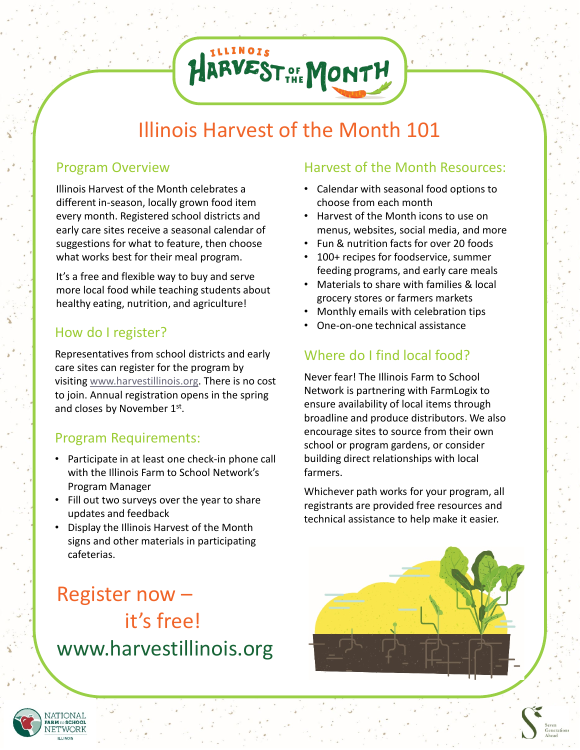## Illinois Harvest of the Month 101

HARVEST OF MONTH

### Program Overview

Illinois Harvest of the Month celebrates a different in-season, locally grown food item every month. Registered school districts and early care sites receive a seasonal calendar of suggestions for what to feature, then choose what works best for their meal program.

It's a free and flexible way to buy and serve more local food while teaching students about healthy eating, nutrition, and agriculture!

### How do I register?

Representatives from school districts and early care sites can register for the program by visiting [www.harvestillinois.org.](http://www.harvestillinois.org/) There is no cost to join. Annual registration opens in the spring and closes by November 1st.

#### Program Requirements:

- Participate in at least one check-in phone call with the Illinois Farm to School Network's Program Manager
- Fill out two surveys over the year to share updates and feedback
- Display the Illinois Harvest of the Month signs and other materials in participating cafeterias.

## Register now – it's free! www.harvestillinois.org

#### Harvest of the Month Resources:

- Calendar with seasonal food options to choose from each month
- Harvest of the Month icons to use on menus, websites, social media, and more
- Fun & nutrition facts for over 20 foods
- 100+ recipes for foodservice, summer feeding programs, and early care meals
- Materials to share with families & local grocery stores or farmers markets
- Monthly emails with celebration tips
- One-on-one technical assistance

### Where do I find local food?

Never fear! The Illinois Farm to School Network is partnering with FarmLogix to ensure availability of local items through broadline and produce distributors. We also encourage sites to source from their own school or program gardens, or consider building direct relationships with local farmers.

Whichever path works for your program, all registrants are provided free resources and technical assistance to help make it easier.